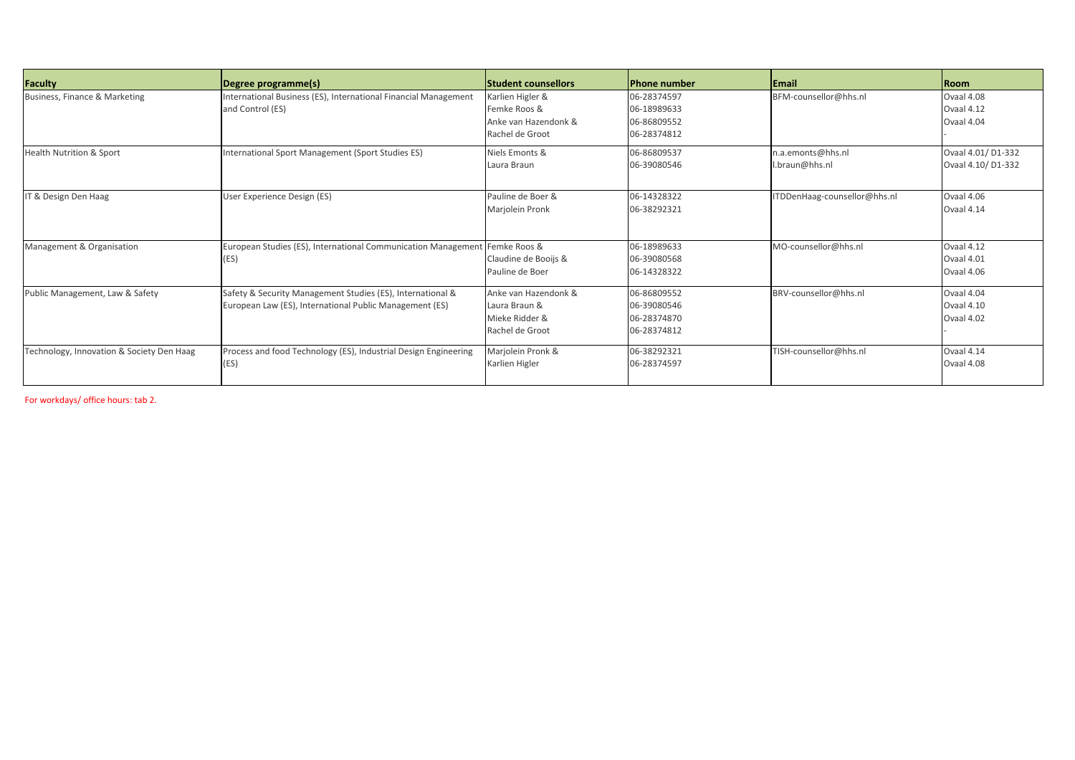| Faculty                                   | Degree programme(s)                                                                                                   | <b>Student counsellors</b>                                                  | <b>Phone number</b>                                      | <b>Email</b>                        | Room                                    |
|-------------------------------------------|-----------------------------------------------------------------------------------------------------------------------|-----------------------------------------------------------------------------|----------------------------------------------------------|-------------------------------------|-----------------------------------------|
| Business, Finance & Marketing             | International Business (ES), International Financial Management<br>and Control (ES)                                   | Karlien Higler &<br>Femke Roos &<br>Anke van Hazendonk &<br>Rachel de Groot | 06-28374597<br>06-18989633<br>06-86809552<br>06-28374812 | BFM-counsellor@hhs.nl               | Ovaal 4.08<br>Ovaal 4.12<br>Ovaal 4.04  |
| <b>Health Nutrition &amp; Sport</b>       | International Sport Management (Sport Studies ES)                                                                     | Niels Emonts &<br>Laura Braun                                               | 06-86809537<br>06-39080546                               | n.a.emonts@hhs.nl<br>I.braun@hhs.nl | Ovaal 4.01/D1-332<br>Ovaal 4.10/ D1-332 |
| IT & Design Den Haag                      | User Experience Design (ES)                                                                                           | Pauline de Boer &<br>Marjolein Pronk                                        | 06-14328322<br>06-38292321                               | ITDDenHaag-counsellor@hhs.nl        | Ovaal 4.06<br>Ovaal 4.14                |
| Management & Organisation                 | European Studies (ES), International Communication Management Femke Roos &<br>(ES)                                    | Claudine de Booijs &<br>Pauline de Boer                                     | 06-18989633<br>06-39080568<br>06-14328322                | MO-counsellor@hhs.nl                | Ovaal 4.12<br>Ovaal 4.01<br>Ovaal 4.06  |
| Public Management, Law & Safety           | Safety & Security Management Studies (ES), International &<br>European Law (ES), International Public Management (ES) | Anke van Hazendonk &<br>Laura Braun &<br>Mieke Ridder &<br>Rachel de Groot  | 06-86809552<br>06-39080546<br>06-28374870<br>06-28374812 | BRV-counsellor@hhs.nl               | Ovaal 4.04<br>Ovaal 4.10<br>Ovaal 4.02  |
| Technology, Innovation & Society Den Haag | Process and food Technology (ES), Industrial Design Engineering<br>(ES)                                               | Marjolein Pronk &<br>Karlien Higler                                         | 06-38292321<br>06-28374597                               | TISH-counsellor@hhs.nl              | Ovaal 4.14<br>Ovaal 4.08                |

For workdays/ office hours: tab 2.